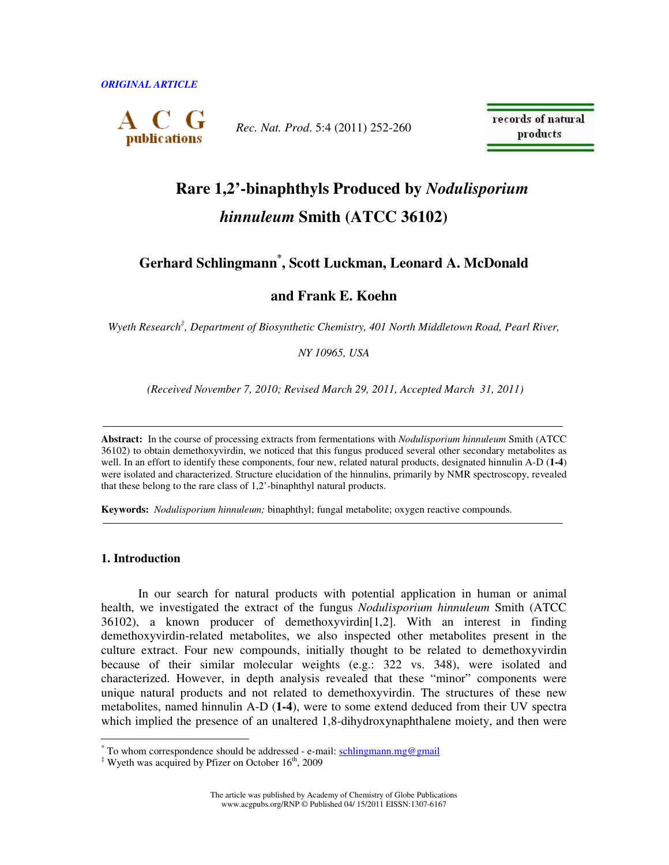

*Rec. Nat. Prod*. 5:4 (2011) 252-260

records of natural products

# **Rare 1,2'-binaphthyls Produced by** *Nodulisporium hinnuleum* **Smith (ATCC 36102)**

## **Gerhard Schlingmann\* , Scott Luckman, Leonard A. McDonald**

**and Frank E. Koehn** 

*Wyeth Research‡ , Department of Biosynthetic Chemistry, 401 North Middletown Road, Pearl River,* 

*NY 10965, USA* 

 *(Received November 7, 2010; Revised March 29, 2011, Accepted March 31, 2011)* 

**Abstract:** In the course of processing extracts from fermentations with *Nodulisporium hinnuleum* Smith (ATCC 36102) to obtain demethoxyvirdin, we noticed that this fungus produced several other secondary metabolites as well. In an effort to identify these components, four new, related natural products, designated hinnulin A-D (**1-4**) were isolated and characterized. Structure elucidation of the hinnulins, primarily by NMR spectroscopy, revealed that these belong to the rare class of 1,2'-binaphthyl natural products.

**Keywords:** *Nodulisporium hinnuleum;* binaphthyl; fungal metabolite; oxygen reactive compounds.

## **1. Introduction**

In our search for natural products with potential application in human or animal health, we investigated the extract of the fungus *Nodulisporium hinnuleum* Smith (ATCC 36102), a known producer of demethoxyvirdin[1,2]. With an interest in finding demethoxyvirdin-related metabolites, we also inspected other metabolites present in the culture extract. Four new compounds, initially thought to be related to demethoxyvirdin because of their similar molecular weights (e.g.: 322 vs. 348), were isolated and characterized. However, in depth analysis revealed that these "minor" components were unique natural products and not related to demethoxyvirdin. The structures of these new metabolites, named hinnulin A-D (**1-4**), were to some extend deduced from their UV spectra which implied the presence of an unaltered 1,8-dihydroxynaphthalene moiety, and then were

The article was published by Academy of Chemistry of Globe Publications www.acgpubs.org/RNP © Published 04/ 15/2011 EISSN:1307-6167

<sup>\*&</sup>lt;br>To whom correspondence should be addressed - e-mail: **schlingmann.mg@gmail** 

 $*$  Wyeth was acquired by Pfizer on October 16<sup>th</sup>, 2009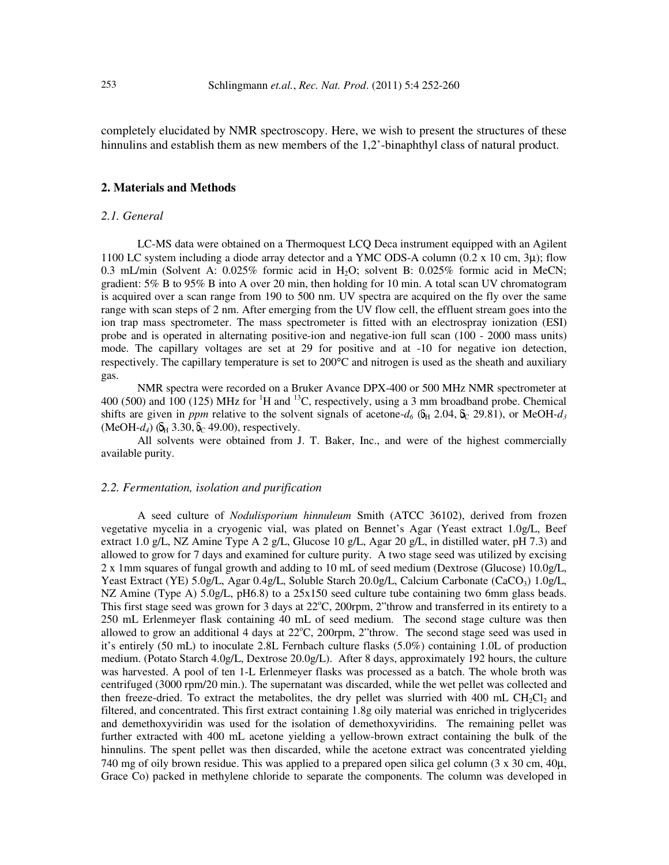completely elucidated by NMR spectroscopy. Here, we wish to present the structures of these hinnulins and establish them as new members of the 1,2'-binaphthyl class of natural product.

## **2. Materials and Methods**

## *2.1. General*

LC-MS data were obtained on a Thermoquest LCQ Deca instrument equipped with an Agilent 1100 LC system including a diode array detector and a YMC ODS-A column  $(0.2 \times 10 \text{ cm}, 3\mu)$ ; flow 0.3 mL/min (Solvent A:  $0.025\%$  formic acid in H<sub>2</sub>O; solvent B:  $0.025\%$  formic acid in MeCN; gradient: 5% B to 95% B into A over 20 min, then holding for 10 min. A total scan UV chromatogram is acquired over a scan range from 190 to 500 nm. UV spectra are acquired on the fly over the same range with scan steps of 2 nm. After emerging from the UV flow cell, the effluent stream goes into the ion trap mass spectrometer. The mass spectrometer is fitted with an electrospray ionization (ESI) probe and is operated in alternating positive-ion and negative-ion full scan (100 - 2000 mass units) mode. The capillary voltages are set at 29 for positive and at -10 for negative ion detection, respectively. The capillary temperature is set to 200°C and nitrogen is used as the sheath and auxiliary gas.

NMR spectra were recorded on a Bruker Avance DPX-400 or 500 MHz NMR spectrometer at 400 (500) and 100 (125) MHz for <sup>1</sup>H and <sup>13</sup>C, respectively, using a 3 mm broadband probe. Chemical shifts are given in *ppm* relative to the solvent signals of acetone- $d_6$  ( $\delta_H$  2.04,  $\delta_C$  29.81), or MeOH- $d_3$  $(MeOH-d_4)$  ( $\delta_H$  3.30,  $\delta_C$  49.00), respectively.

All solvents were obtained from J. T. Baker, Inc., and were of the highest commercially available purity.

## *2.2. Fermentation, isolation and purification*

A seed culture of *Nodulisporium hinnuleum* Smith (ATCC 36102), derived from frozen vegetative mycelia in a cryogenic vial, was plated on Bennet's Agar (Yeast extract 1.0g/L, Beef extract 1.0 g/L, NZ Amine Type A 2 g/L, Glucose 10 g/L, Agar 20 g/L, in distilled water, pH 7.3) and allowed to grow for 7 days and examined for culture purity. A two stage seed was utilized by excising 2 x 1mm squares of fungal growth and adding to 10 mL of seed medium (Dextrose (Glucose) 10.0g/L, Yeast Extract (YE) 5.0g/L, Agar 0.4g/L, Soluble Starch 20.0g/L, Calcium Carbonate (CaCO<sub>3</sub>) 1.0g/L, NZ Amine (Type A) 5.0g/L, pH6.8) to a 25x150 seed culture tube containing two 6mm glass beads. This first stage seed was grown for 3 days at  $22^{\circ}$ C, 200rpm, 2"throw and transferred in its entirety to a 250 mL Erlenmeyer flask containing 40 mL of seed medium. The second stage culture was then allowed to grow an additional 4 days at  $22^{\circ}$ C, 200rpm, 2"throw. The second stage seed was used in it's entirely (50 mL) to inoculate 2.8L Fernbach culture flasks (5.0%) containing 1.0L of production medium. (Potato Starch 4.0g/L, Dextrose 20.0g/L). After 8 days, approximately 192 hours, the culture was harvested. A pool of ten 1-L Erlenmeyer flasks was processed as a batch. The whole broth was centrifuged (3000 rpm/20 min.). The supernatant was discarded, while the wet pellet was collected and then freeze-dried. To extract the metabolites, the dry pellet was slurried with 400 mL  $CH_2Cl_2$  and filtered, and concentrated. This first extract containing 1.8g oily material was enriched in triglycerides and demethoxyviridin was used for the isolation of demethoxyviridins. The remaining pellet was further extracted with 400 mL acetone yielding a yellow-brown extract containing the bulk of the hinnulins. The spent pellet was then discarded, while the acetone extract was concentrated yielding 740 mg of oily brown residue. This was applied to a prepared open silica gel column (3 x 30 cm, 40µ, Grace Co) packed in methylene chloride to separate the components. The column was developed in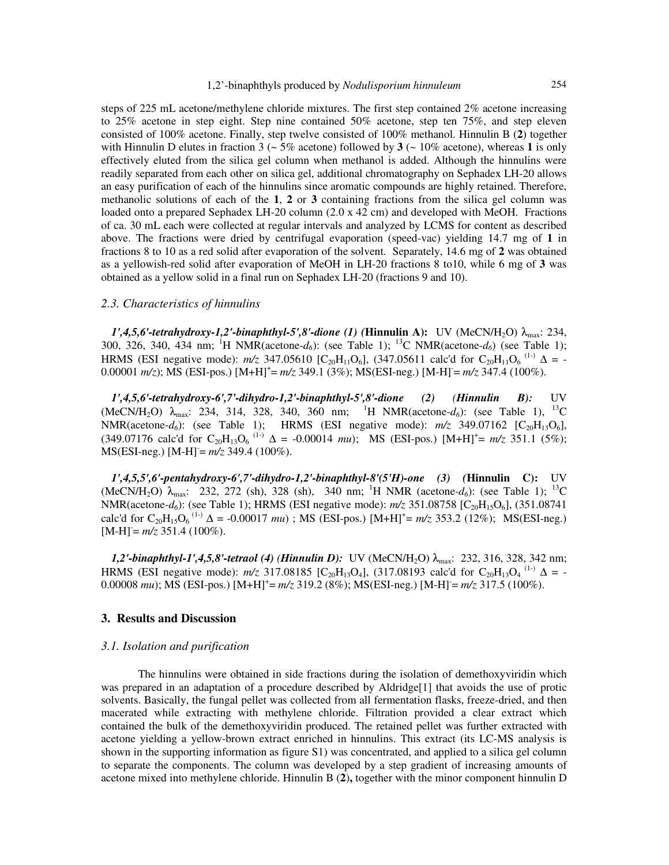steps of 225 mL acetone/methylene chloride mixtures. The first step contained 2% acetone increasing to 25% acetone in step eight. Step nine contained 50% acetone, step ten 75%, and step eleven consisted of 100% acetone. Finally, step twelve consisted of 100% methanol. Hinnulin B (**2**) together with Hinnulin D elutes in fraction 3 ( $\sim$  5% acetone) followed by **3** ( $\sim$  10% acetone), whereas **1** is only effectively eluted from the silica gel column when methanol is added. Although the hinnulins were readily separated from each other on silica gel, additional chromatography on Sephadex LH-20 allows an easy purification of each of the hinnulins since aromatic compounds are highly retained. Therefore, methanolic solutions of each of the **1**, **2** or **3** containing fractions from the silica gel column was loaded onto a prepared Sephadex LH-20 column (2.0 x 42 cm) and developed with MeOH. Fractions of ca. 30 mL each were collected at regular intervals and analyzed by LCMS for content as described above. The fractions were dried by centrifugal evaporation (speed-vac) yielding 14.7 mg of **1** in fractions 8 to 10 as a red solid after evaporation of the solvent. Separately, 14.6 mg of **2** was obtained as a yellowish-red solid after evaporation of MeOH in LH-20 fractions 8 to10, while 6 mg of **3** was obtained as a yellow solid in a final run on Sephadex LH-20 (fractions 9 and 10).

## *2.3. Characteristics of hinnulins*

 $1', 4, 5, 6'$ -tetrahydroxy-1,2'-binaphthyl-5',8'-dione (1) (Hinnulin A): UV (MeCN/H<sub>2</sub>O)  $\lambda_{\text{max}}$ : 234, 300, 326, 340, 434 nm; <sup>1</sup>H NMR(acetone-*d6*): (see Table 1); <sup>13</sup>C NMR(acetone-*d6*) (see Table 1); HRMS (ESI negative mode):  $m/z$  347.05610 [C<sub>20</sub>H<sub>11</sub>O<sub>6</sub>], (347.05611 calc'd for C<sub>20</sub>H<sub>11</sub>O<sub>6</sub><sup>(1-)</sup>  $\Delta$  = -0.00001 *m/z*); MS (ESI-pos.) [M+H]<sup>+</sup>= *m/z* 349.1 (3%); MS(ESI-neg.) [M-H]= *m/z* 347.4 (100%).

*1',4,5,6'-tetrahydroxy-6',7'-dihydro-1,2'-binaphthyl-5',8'-dione (2) (Hinnulin B):* UV (MeCN/H<sub>2</sub>O)  $\lambda_{\text{max}}$ : 234, 314, 328, 340, 360 nm; <sup>1</sup>H NMR(acetone-*d*<sub>6</sub>): (see Table 1), <sup>13</sup>C NMR(acetone- $d_6$ ): (see Table 1); HRMS (ESI negative mode):  $m/z$  349.07162 [C<sub>20</sub>H<sub>13</sub>O<sub>6</sub>],  $(349.07176 \text{ calc'd for } C_{20}H_{13}O_6 \text{ }^{(1)} \Delta = -0.00014 \text{ }mu); \text{ MS (ESI-pos.) } [M+H]^+ = m/z \text{ } 351.1 \text{ } (5\%);$ MS(ESI-neg.) [M-H]<sup>-</sup>=  $m/z$  349.4 (100%).

*1',4,5,5',6'-pentahydroxy-6',7'-dihydro-1,2'-binaphthyl-8'(5'H)-one (3) (***Hinnulin C):** UV (MeCN/H<sub>2</sub>O) λ<sub>max</sub>: 232, 272 (sh), 328 (sh), 340 nm; <sup>1</sup>H NMR (acetone-*d<sub>6</sub>*): (see Table 1); <sup>13</sup>C NMR(acetone-*d<sub>6</sub>*): (see Table 1); HRMS (ESI negative mode): *m/z* 351.08758 [C<sub>20</sub>H<sub>15</sub>O<sub>6</sub>], (351.08741) calc'd for  $C_{20}H_{15}O_6$ <sup>(1-)</sup>  $\Delta$  = -0.00017 *mu*); MS (ESI-pos.) [M+H]<sup>+</sup>= *m/z* 353.2 (12%); MS(ESI-neg.)  $[M-H] = m/z$  351.4 (100%).

*1,2'-binaphthyl-1',4,5,8'-tetraol (4) (Hinnulin D):* UV (MeCN/H<sub>2</sub>O) λ<sub>max</sub>: 232, 316, 328, 342 nm; HRMS (ESI negative mode):  $m/z$  317.08185 [C<sub>20</sub>H<sub>13</sub>O<sub>4</sub>], (317.08193 calc'd for C<sub>20</sub>H<sub>13</sub>O<sub>4</sub><sup>(1-)</sup>  $\Delta$  = -0.00008 mu); MS (ESI-pos.) [M+H]<sup>+</sup>= m/z 319.2 (8%); MS(ESI-neg.) [M-H] = m/z 317.5 (100%).

## **3. Results and Discussion**

## *3.1. Isolation and purification*

The hinnulins were obtained in side fractions during the isolation of demethoxyviridin which was prepared in an adaptation of a procedure described by Aldridge<sup>[1]</sup> that avoids the use of protic solvents. Basically, the fungal pellet was collected from all fermentation flasks, freeze-dried, and then macerated while extracting with methylene chloride. Filtration provided a clear extract which contained the bulk of the demethoxyviridin produced. The retained pellet was further extracted with acetone yielding a yellow-brown extract enriched in hinnulins. This extract (its LC-MS analysis is shown in the supporting information as figure S1) was concentrated, and applied to a silica gel column to separate the components. The column was developed by a step gradient of increasing amounts of acetone mixed into methylene chloride. Hinnulin B (**2**)**,** together with the minor component hinnulin D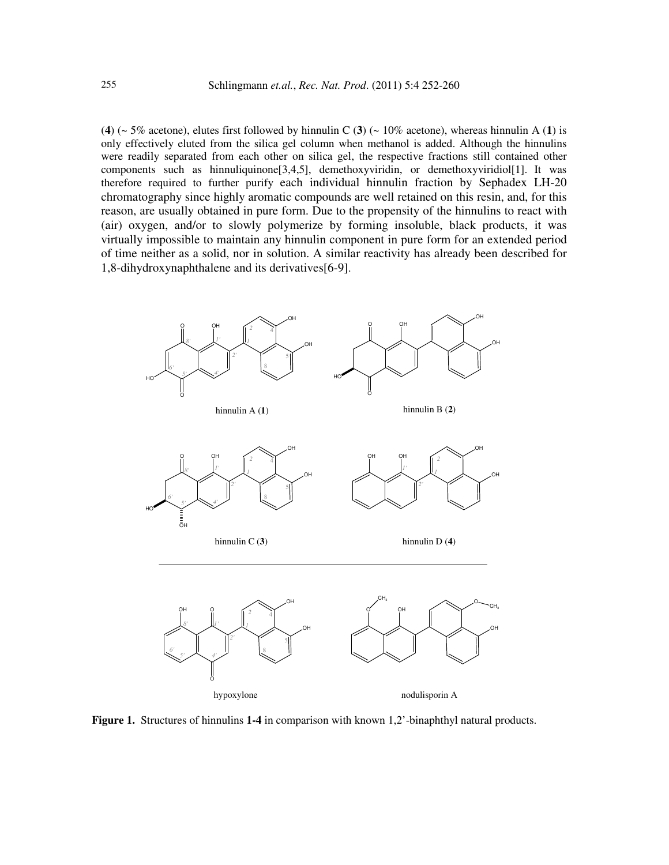(4) ( $\sim$  5% acetone), elutes first followed by hinnulin C (3) ( $\sim$  10% acetone), whereas hinnulin A (1) is only effectively eluted from the silica gel column when methanol is added. Although the hinnulins were readily separated from each other on silica gel, the respective fractions still contained other components such as hinnuliquinone[3,4,5], demethoxyviridin, or demethoxyviridiol[1]. It was therefore required to further purify each individual hinnulin fraction by Sephadex LH-20 chromatography since highly aromatic compounds are well retained on this resin, and, for this reason, are usually obtained in pure form. Due to the propensity of the hinnulins to react with (air) oxygen, and/or to slowly polymerize by forming insoluble, black products, it was virtually impossible to maintain any hinnulin component in pure form for an extended period of time neither as a solid, nor in solution. A similar reactivity has already been described for 1,8-dihydroxynaphthalene and its derivatives[6-9].



**Figure 1.** Structures of hinnulins **1-4** in comparison with known 1,2'-binaphthyl natural products.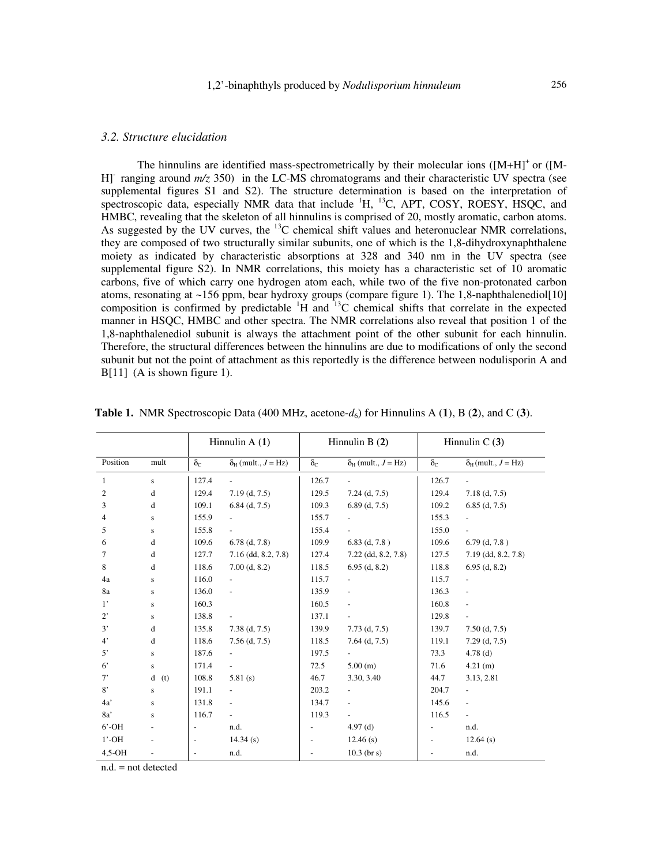## *3.2. Structure elucidation*

The hinnulins are identified mass-spectrometrically by their molecular ions  $([M+H]^+$ or  $([M-$ H]- ranging around *m/z* 350) in the LC-MS chromatograms and their characteristic UV spectra (see supplemental figures S1 and S2). The structure determination is based on the interpretation of spectroscopic data, especially NMR data that include  ${}^{1}H$ ,  ${}^{13}C$ , APT, COSY, ROESY, HSQC, and HMBC, revealing that the skeleton of all hinnulins is comprised of 20, mostly aromatic, carbon atoms. As suggested by the UV curves, the  $^{13}$ C chemical shift values and heteronuclear NMR correlations, they are composed of two structurally similar subunits, one of which is the 1,8-dihydroxynaphthalene moiety as indicated by characteristic absorptions at 328 and 340 nm in the UV spectra (see supplemental figure S2). In NMR correlations, this moiety has a characteristic set of 10 aromatic carbons, five of which carry one hydrogen atom each, while two of the five non-protonated carbon atoms, resonating at ~156 ppm, bear hydroxy groups (compare figure 1). The 1,8-naphthalenediol[10] composition is confirmed by predictable  ${}^{1}H$  and  ${}^{13}C$  chemical shifts that correlate in the expected manner in HSQC, HMBC and other spectra. The NMR correlations also reveal that position 1 of the 1,8-naphthalenediol subunit is always the attachment point of the other subunit for each hinnulin. Therefore, the structural differences between the hinnulins are due to modifications of only the second subunit but not the point of attachment as this reportedly is the difference between nodulisporin A and B[11] (A is shown figure 1).

|                |                                               | Hinnulin $A(1)$          |                                 | Hinnulin $B(2)$  |                                 | Hinnulin $C(3)$  |                               |
|----------------|-----------------------------------------------|--------------------------|---------------------------------|------------------|---------------------------------|------------------|-------------------------------|
| Position       | mult                                          | $\delta_{\rm C}$         | $\delta_{H}$ (mult., $J = Hz$ ) | $\delta_{\rm C}$ | $\delta_{H}$ (mult., $J = Hz$ ) | $\delta_{\rm C}$ | $\delta_H$ (mult., $J = Hz$ ) |
| 1              | s                                             | 127.4                    |                                 | 126.7            |                                 | 126.7            |                               |
| $\overline{c}$ | d                                             | 129.4                    | $7.19$ (d, $7.5$ )              | 129.5            | $7.24$ (d, $7.5$ )              | 129.4            | $7.18$ (d, $7.5$ )            |
| 3              | d                                             | 109.1                    | $6.84$ (d, 7.5)                 | 109.3            | $6.89$ (d, $7.5$ )              | 109.2            | $6.85$ (d, 7.5)               |
| 4              | $\bf S$                                       | 155.9                    |                                 | 155.7            |                                 | 155.3            |                               |
| 5              | ${\bf S}$                                     | 155.8                    | $\overline{\phantom{a}}$        | 155.4            | $\overline{\phantom{0}}$        | 155.0            |                               |
| 6              | d                                             | 109.6                    | $6.78$ (d, $7.8$ )              | 109.9            | $6.83$ (d, $7.8$ )              | 109.6            | $6.79$ (d, $7.8$ )            |
| 7              | $\mathrm{d}% \left\  \mathbf{G}\right\  ^{2}$ | 127.7                    | $7.16$ (dd, 8.2, 7.8)           | 127.4            | $7.22$ (dd, 8.2, 7.8)           | 127.5            | $7.19$ (dd, 8.2, 7.8)         |
| 8              | d                                             | 118.6                    | $7.00$ (d, 8.2)                 | 118.5            | $6.95$ (d, 8.2)                 | 118.8            | $6.95$ (d, 8.2)               |
| 4a             | $\bf S$                                       | 116.0                    | $\overline{\phantom{a}}$        | 115.7            | $\overline{\phantom{a}}$        | 115.7            |                               |
| 8a             | ${\bf S}$                                     | 136.0                    | $\frac{1}{2}$                   | 135.9            | $\overline{\phantom{0}}$        | 136.3            | $\overline{\phantom{a}}$      |
| $1^{\prime}$   | ${\bf S}$                                     | 160.3                    |                                 | 160.5            | $\overline{\phantom{0}}$        | 160.8            | $\overline{\phantom{0}}$      |
| $2^{\circ}$    | ${\bf S}$                                     | 138.8                    |                                 | 137.1            |                                 | 129.8            |                               |
| 3'             | $\mathrm{d}% \left\  \mathbf{G}\right\  ^{2}$ | 135.8                    | $7.38$ (d, $7.5$ )              | 139.9            | $7.73$ (d, $7.5$ )              | 139.7            | $7.50$ (d, $7.5$ )            |
| $4^{\circ}$    | $\mathrm{d}% \left\  \mathbf{G}\right\  ^{2}$ | 118.6                    | $7.56$ (d, $7.5$ )              | 118.5            | $7.64$ (d, $7.5$ )              | 119.1            | $7.29$ (d, $7.5$ )            |
| 5'             | $\bf S$                                       | 187.6                    | $\overline{\phantom{a}}$        | 197.5            | $\overline{\phantom{a}}$        | 73.3             | $4.78$ (d)                    |
| $6^{\circ}$    | ${\bf S}$                                     | 171.4                    | $\overline{\phantom{a}}$        | 72.5             | 5.00(m)                         | 71.6             | 4.21(m)                       |
| 7'             | $\mathbf d$<br>(t)                            | 108.8                    | 5.81(s)                         | 46.7             | 3.30, 3.40                      | 44.7             | 3.13, 2.81                    |
| 8'             | $\bf S$                                       | 191.1                    | $\frac{1}{2}$                   | 203.2            | $\overline{\phantom{a}}$        | 204.7            | $\overline{\phantom{0}}$      |
| 4a'            | $\bf S$                                       | 131.8                    | $\overline{\phantom{a}}$        | 134.7            | ÷.                              | 145.6            | $\overline{\phantom{0}}$      |
| 8a'            | ${\bf S}$                                     | 116.7                    | $\overline{\phantom{a}}$        | 119.3            |                                 | 116.5            | $\overline{\phantom{0}}$      |
| $6'$ -OH       | $\overline{\phantom{0}}$                      | $\overline{\phantom{a}}$ | n.d.                            |                  | $4.97$ (d)                      |                  | n.d.                          |
| $1'$ -OH       | $\overline{\phantom{a}}$                      | $\overline{\phantom{a}}$ | 14.34(s)                        |                  | 12.46(s)                        |                  | $12.64$ (s)                   |
| $4.5-OH$       | $\overline{\phantom{a}}$                      | $\blacksquare$           | n.d.                            |                  | $10.3$ (br s)                   |                  | n.d.                          |

 **Table 1.** NMR Spectroscopic Data (400 MHz, acetone-*d*6) for Hinnulins A (**1**), B (**2**), and C (**3**).

n.d. = not detected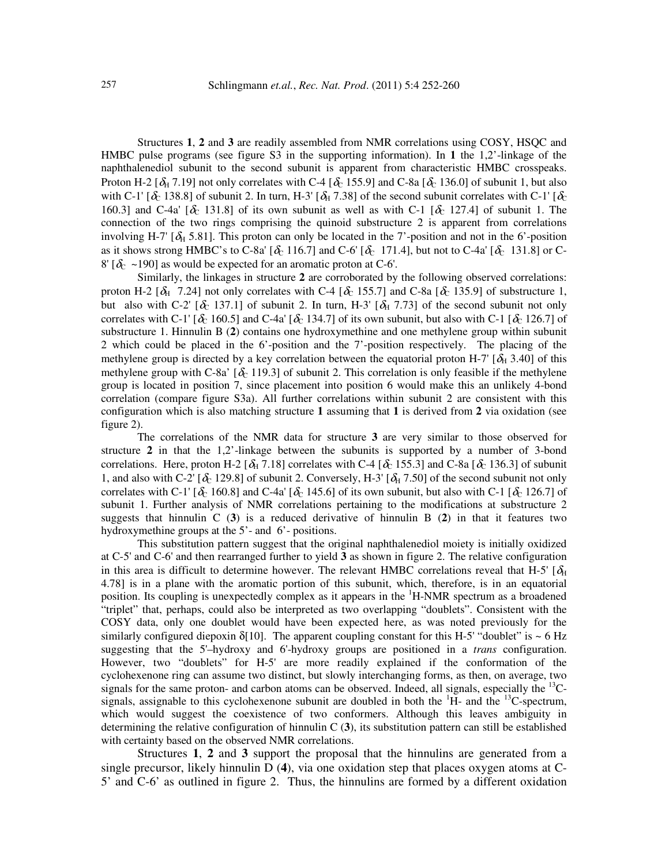Structures **1**, **2** and **3** are readily assembled from NMR correlations using COSY, HSQC and HMBC pulse programs (see figure S3 in the supporting information). In **1** the 1,2'-linkage of the naphthalenediol subunit to the second subunit is apparent from characteristic HMBC crosspeaks. Proton H-2 [ $\delta_H$  7.19] not only correlates with C-4 [ $\delta_C$  155.9] and C-8a [ $\delta_C$  136.0] of subunit 1, but also with C-1' [ $\delta_c$  138.8] of subunit 2. In turn, H-3' [ $\delta_H$  7.38] of the second subunit correlates with C-1' [ $\delta_c$ 160.3] and C-4a'  $[\delta_0]$  131.8] of its own subunit as well as with C-1  $[\delta_0]$  127.4] of subunit 1. The connection of the two rings comprising the quinoid substructure 2 is apparent from correlations involving H-7'  $[\delta_H 5.81]$ . This proton can only be located in the 7'-position and not in the 6'-position as it shows strong HMBC's to C-8a'  $[\delta_c 116.7]$  and C-6'  $[\delta_c 171.4]$ , but not to C-4a'  $[\delta_c 131.8]$  or C- $8' [\delta_{\rm C} \sim 190]$  as would be expected for an aromatic proton at C-6'.

Similarly, the linkages in structure **2** are corroborated by the following observed correlations: proton H-2 [ $\delta_H$  7.24] not only correlates with C-4 [ $\delta_C$  155.7] and C-8a [ $\delta_C$  135.9] of substructure 1, but also with C-2'  $[\delta_0 137.1]$  of subunit 2. In turn, H-3'  $[\delta_H 7.73]$  of the second subunit not only correlates with C-1' [ $\delta_c$  160.5] and C-4a' [ $\delta_c$  134.7] of its own subunit, but also with C-1 [ $\delta_c$  126.7] of substructure 1. Hinnulin B (**2**) contains one hydroxymethine and one methylene group within subunit 2 which could be placed in the 6'-position and the 7'-position respectively. The placing of the methylene group is directed by a key correlation between the equatorial proton H-7' [ $\delta_H$  3.40] of this methylene group with C-8a'  $[\delta_{C} 119.3]$  of subunit 2. This correlation is only feasible if the methylene group is located in position 7, since placement into position 6 would make this an unlikely 4-bond correlation (compare figure S3a). All further correlations within subunit 2 are consistent with this configuration which is also matching structure **1** assuming that **1** is derived from **2** via oxidation (see figure 2).

The correlations of the NMR data for structure **3** are very similar to those observed for structure **2** in that the 1,2'-linkage between the subunits is supported by a number of 3-bond correlations. Here, proton H-2 [ $\delta_H$  7.18] correlates with C-4 [ $\delta_C$  155.3] and C-8a [ $\delta_C$  136.3] of subunit 1, and also with C-2' [ $\delta_c$  129.8] of subunit 2. Conversely, H-3' [ $\delta_H$  7.50] of the second subunit not only correlates with C-1' [ $\delta_c$  160.8] and C-4a' [ $\delta_c$  145.6] of its own subunit, but also with C-1 [ $\delta_c$  126.7] of subunit 1. Further analysis of NMR correlations pertaining to the modifications at substructure 2 suggests that hinnulin C (**3**) is a reduced derivative of hinnulin B (**2**) in that it features two hydroxymethine groups at the 5'- and 6'- positions.

This substitution pattern suggest that the original naphthalenediol moiety is initially oxidized at C-5' and C-6' and then rearranged further to yield **3** as shown in figure 2. The relative configuration in this area is difficult to determine however. The relevant HMBC correlations reveal that H-5'  $[\delta_H]$ 4.78] is in a plane with the aromatic portion of this subunit, which, therefore, is in an equatorial position. Its coupling is unexpectedly complex as it appears in the <sup>1</sup>H-NMR spectrum as a broadened "triplet" that, perhaps, could also be interpreted as two overlapping "doublets". Consistent with the COSY data, only one doublet would have been expected here, as was noted previously for the similarly configured diepoxin  $\delta$ [10]. The apparent coupling constant for this H-5' "doublet" is ~ 6 Hz suggesting that the 5'–hydroxy and 6'-hydroxy groups are positioned in a *trans* configuration. However, two "doublets" for H-5' are more readily explained if the conformation of the cyclohexenone ring can assume two distinct, but slowly interchanging forms, as then, on average, two signals for the same proton- and carbon atoms can be observed. Indeed, all signals, especially the  $^{13}$ Csignals, assignable to this cyclohexenone subunit are doubled in both the  ${}^{1}H$ - and the  ${}^{13}C$ -spectrum, which would suggest the coexistence of two conformers. Although this leaves ambiguity in determining the relative configuration of hinnulin C (**3**), its substitution pattern can still be established with certainty based on the observed NMR correlations.

Structures **1**, **2** and **3** support the proposal that the hinnulins are generated from a single precursor, likely hinnulin D (**4**), via one oxidation step that places oxygen atoms at C-5' and C-6' as outlined in figure 2. Thus, the hinnulins are formed by a different oxidation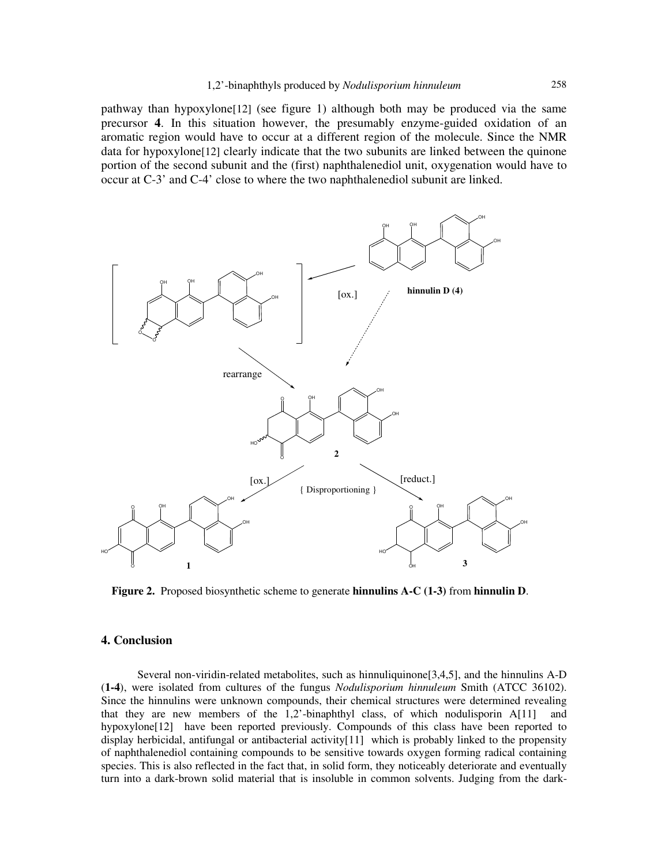pathway than hypoxylone[12] (see figure 1) although both may be produced via the same precursor **4**. In this situation however, the presumably enzyme-guided oxidation of an aromatic region would have to occur at a different region of the molecule. Since the NMR data for hypoxylone[12] clearly indicate that the two subunits are linked between the quinone portion of the second subunit and the (first) naphthalenediol unit, oxygenation would have to occur at C-3' and C-4' close to where the two naphthalenediol subunit are linked.



 **Figure 2.** Proposed biosynthetic scheme to generate **hinnulins A-C (1-3)** from **hinnulin D**.

## **4. Conclusion**

Several non-viridin-related metabolites, such as hinnuliquinone[3,4,5], and the hinnulins A-D (**1-4**), were isolated from cultures of the fungus *Nodulisporium hinnuleum* Smith (ATCC 36102). Since the hinnulins were unknown compounds, their chemical structures were determined revealing that they are new members of the  $1,2$ -binaphthyl class, of which nodulisporin  $A[11]$  and hypoxylone[12] have been reported previously. Compounds of this class have been reported to display herbicidal, antifungal or antibacterial activity[11] which is probably linked to the propensity of naphthalenediol containing compounds to be sensitive towards oxygen forming radical containing species. This is also reflected in the fact that, in solid form, they noticeably deteriorate and eventually turn into a dark-brown solid material that is insoluble in common solvents. Judging from the dark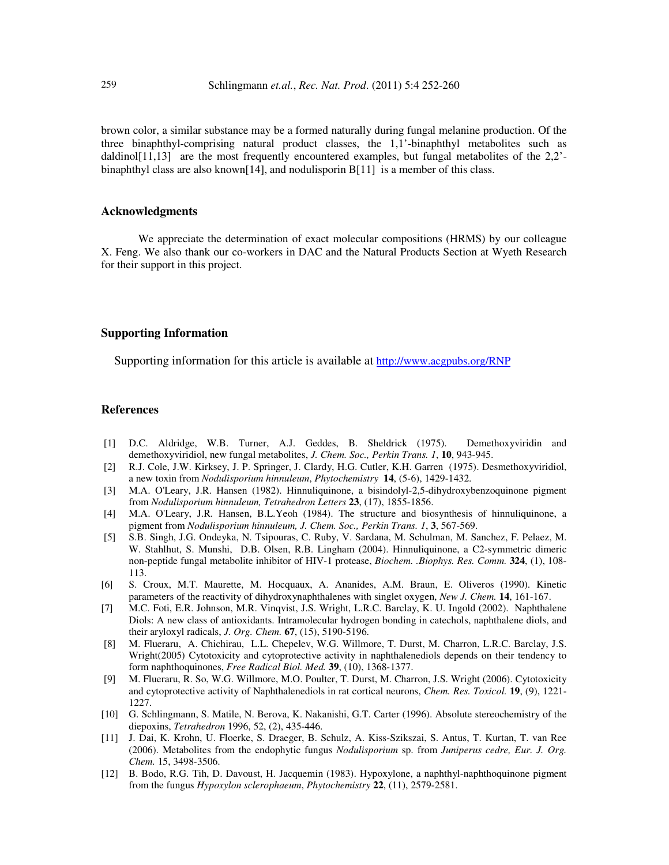brown color, a similar substance may be a formed naturally during fungal melanine production. Of the three binaphthyl-comprising natural product classes, the 1,1'-binaphthyl metabolites such as daldinol[11,13] are the most frequently encountered examples, but fungal metabolites of the 2,2'binaphthyl class are also known[14], and nodulisporin B[11] is a member of this class.

## **Acknowledgments**

We appreciate the determination of exact molecular compositions (HRMS) by our colleague X. Feng. We also thank our co-workers in DAC and the Natural Products Section at Wyeth Research for their support in this project.

## **Supporting Information**

Supporting information for this article is available at http://www.acgpubs.org/RNP

## **References**

- [1] D.C. Aldridge, W.B. Turner, A.J. Geddes, B. Sheldrick (1975). Demethoxyviridin and demethoxyviridiol, new fungal metabolites, *J. Chem. Soc., Perkin Trans. 1*, **10**, 943-945.
- [2] R.J. Cole, J.W. Kirksey, J. P. Springer, J. Clardy, H.G. Cutler, K.H. Garren (1975). Desmethoxyviridiol, a new toxin from *Nodulisporium hinnuleum*, *Phytochemistry* **14**, (5-6), 1429-1432.
- [3] M.A. O'Leary, J.R. Hansen (1982). Hinnuliquinone, a bisindolyl-2,5-dihydroxybenzoquinone pigment from *Nodulisporium hinnuleum, Tetrahedron Letters* **23**, (17), 1855-1856.
- [4] M.A. O'Leary, J.R. Hansen, B.L.Yeoh (1984). The structure and biosynthesis of hinnuliquinone, a pigment from *Nodulisporium hinnuleum, J. Chem. Soc., Perkin Trans. 1*, **3**, 567-569.
- [5] S.B. Singh, J.G. Ondeyka, N. Tsipouras, C. Ruby, V. Sardana, M. Schulman, M. Sanchez, F. Pelaez, M. W. Stahlhut, S. Munshi, D.B. Olsen, R.B. Lingham (2004). Hinnuliquinone, a C2-symmetric dimeric non-peptide fungal metabolite inhibitor of HIV-1 protease, *Biochem. .Biophys. Res. Comm.* **324**, (1), 108- 113.
- [6] S. Croux, M.T. Maurette, M. Hocquaux, A. Ananides, A.M. Braun, E. Oliveros (1990). Kinetic parameters of the reactivity of dihydroxynaphthalenes with singlet oxygen, *New J. Chem.* **14**, 161-167.
- [7] M.C. Foti, E.R. Johnson, M.R. Vinqvist, J.S. Wright, L.R.C. Barclay, K. U. Ingold (2002). Naphthalene Diols: A new class of antioxidants. Intramolecular hydrogen bonding in catechols, naphthalene diols, and their aryloxyl radicals, *J. Org. Chem.* **67**, (15), 5190-5196.
- [8] M. Flueraru, A. Chichirau, L.L. Chepelev, W.G. Willmore, T. Durst, M. Charron, L.R.C. Barclay, J.S. Wright(2005) Cytotoxicity and cytoprotective activity in naphthalenediols depends on their tendency to form naphthoquinones, *Free Radical Biol. Med.* **39**, (10), 1368-1377.
- [9] M. Flueraru, R. So, W.G. Willmore, M.O. Poulter, T. Durst, M. Charron, J.S. Wright (2006). Cytotoxicity and cytoprotective activity of Naphthalenediols in rat cortical neurons, *Chem. Res. Toxicol.* **19**, (9), 1221- 1227.
- [10] G. Schlingmann, S. Matile, N. Berova, K. Nakanishi, G.T. Carter (1996). Absolute stereochemistry of the diepoxins, *Tetrahedron* 1996, 52, (2), 435-446.
- [11] J. Dai, K. Krohn, U. Floerke, S. Draeger, B. Schulz, A. Kiss-Szikszai, S. Antus, T. Kurtan, T. van Ree (2006). Metabolites from the endophytic fungus *Nodulisporium* sp. from *Juniperus cedre, Eur. J. Org. Chem.* 15, 3498-3506.
- [12] B. Bodo, R.G. Tih, D. Davoust, H. Jacquemin (1983). Hypoxylone, a naphthyl-naphthoquinone pigment from the fungus *Hypoxylon sclerophaeum*, *Phytochemistry* **22**, (11), 2579-2581.